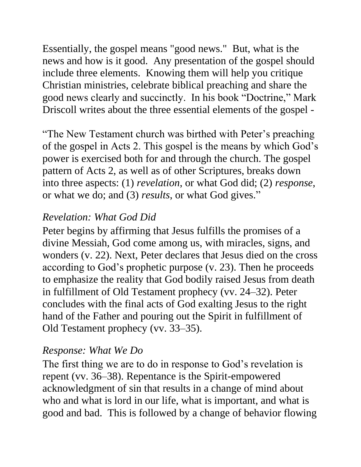Essentially, the gospel means "good news." But, what is the news and how is it good. Any presentation of the gospel should include three elements. Knowing them will help you critique Christian ministries, celebrate biblical preaching and share the good news clearly and succinctly. In his book "Doctrine," Mark Driscoll writes about the three essential elements of the gospel -

"The New Testament church was birthed with Peter's preaching of the gospel in Acts 2. This gospel is the means by which God's power is exercised both for and through the church. The gospel pattern of Acts 2, as well as of other Scriptures, breaks down into three aspects: (1) *revelation*, or what God did; (2) *response*, or what we do; and (3) *results*, or what God gives."

## *Revelation: What God Did*

Peter begins by affirming that Jesus fulfills the promises of a divine Messiah, God come among us, with miracles, signs, and wonders (v. 22). Next, Peter declares that Jesus died on the cross according to God's prophetic purpose (v. 23). Then he proceeds to emphasize the reality that God bodily raised Jesus from death in fulfillment of Old Testament prophecy (vv. 24–32). Peter concludes with the final acts of God exalting Jesus to the right hand of the Father and pouring out the Spirit in fulfillment of Old Testament prophecy (vv. 33–35).

## *Response: What We Do*

The first thing we are to do in response to God's revelation is repent (vv. 36–38). Repentance is the Spirit-empowered acknowledgment of sin that results in a change of mind about who and what is lord in our life, what is important, and what is good and bad. This is followed by a change of behavior flowing